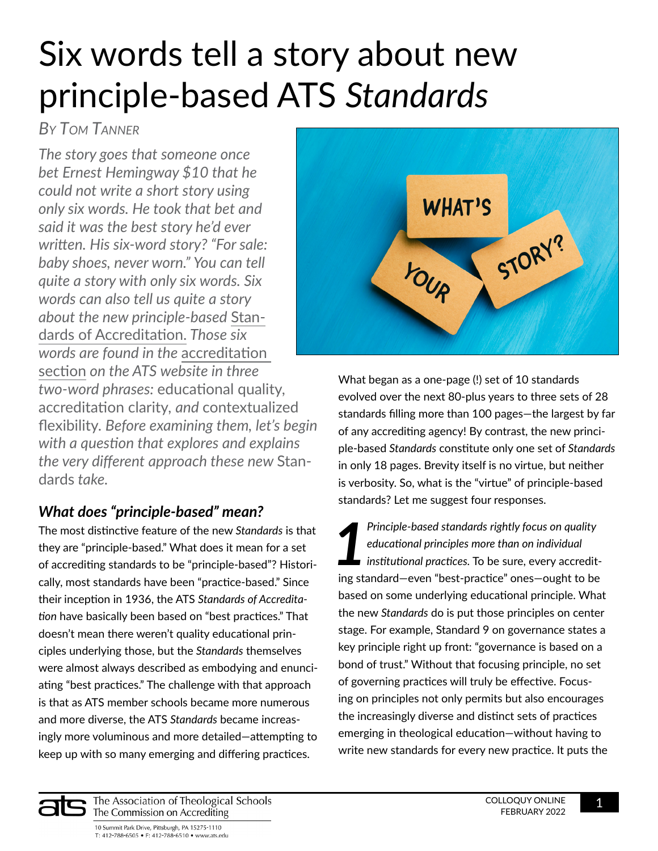# Six words tell a story about new principle-based ATS *Standards*

## *By Tom Tanner*

*The story goes that someone once bet Ernest Hemingway \$10 that he could not write a short story using only six words. He took that bet and said it was the best story he'd ever written. His six-word story? "For sale: baby shoes, never worn." You can tell quite a story with only six words. Six words can also tell us quite a story about the new principle-based* [Stan](https://www.ats.edu/files/galleries/standards-of-accreditation.pdf)[dards of Accreditation.](https://www.ats.edu/files/galleries/standards-of-accreditation.pdf) *Those six words are found in the* [accreditation](https://www.ats.edu/Standards-Of-Accreditation)  [section](https://www.ats.edu/Standards-Of-Accreditation) *on the ATS website in three two-word phrases:* educational quality, accreditation clarity*, and* contextualized flexibility. *Before examining them, let's begin with a question that explores and explains the very different approach these new* Standards *take.* 

### *What does "principle-based" mean?*

The most distinctive feature of the new *Standards* is that they are "principle-based." What does it mean for a set of accrediting standards to be "principle-based"? Historically, most standards have been "practice-based." Since their inception in 1936, the ATS *Standards of Accreditation* have basically been based on "best practices." That doesn't mean there weren't quality educational principles underlying those, but the *Standards* themselves were almost always described as embodying and enunciating "best practices." The challenge with that approach is that as ATS member schools became more numerous and more diverse, the ATS *Standards* became increasingly more voluminous and more detailed—attempting to keep up with so many emerging and differing practices.



What began as a one-page (!) set of 10 standards evolved over the next 80-plus years to three sets of 28 standards filling more than 100 pages—the largest by far of any accrediting agency! By contrast, the new principle-based *Standards* constitute only one set of *Standards* in only 18 pages. Brevity itself is no virtue, but neither is verbosity. So, what is the "virtue" of principle-based standards? Let me suggest four responses.

*1 Principle-based standards rightly focus on quality educational principles more than on individual institutional practices.* To be sure, every accrediting standard—even "best-practice" ones—ought to be based on some underlying educational principle. What the new *Standards* do is put those principles on center stage. For example, Standard 9 on governance states a key principle right up front: "governance is based on a bond of trust." Without that focusing principle, no set of governing practices will truly be effective. Focusing on principles not only permits but also encourages the increasingly diverse and distinct sets of practices emerging in theological education—without having to write new standards for every new practice. It puts the



The Association of Theological Schools The Commission on Accrediting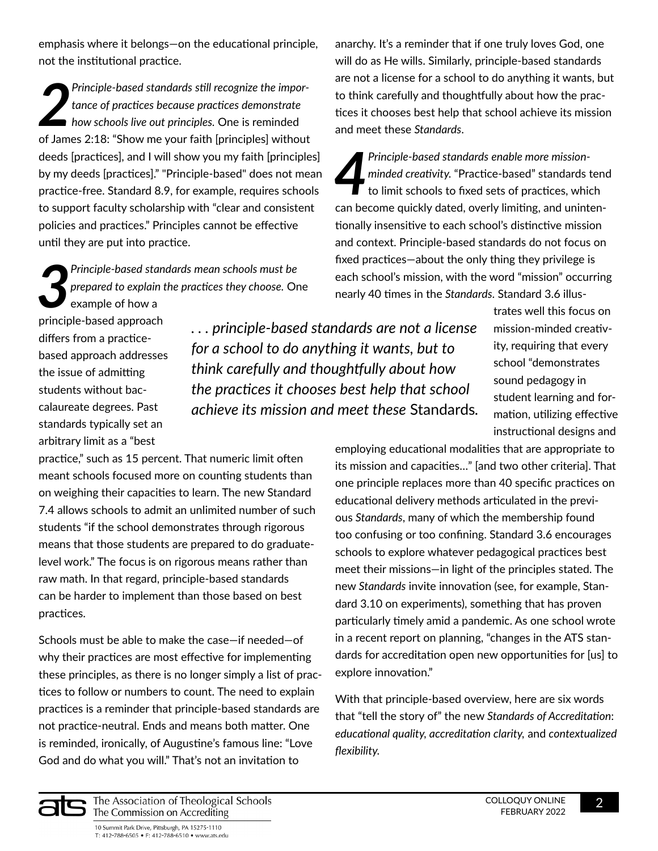emphasis where it belongs—on the educational principle, not the institutional practice.

Principle-based standards still recognize the importance of practices because practices demonstrate<br>how schools live out principles. One is reminded<br>of James 2:18: "Show me your faith [principles] without *Principle-based standards still recognize the importance of practices because practices demonstrate how schools live out principles.* One is reminded deeds [practices], and I will show you my faith [principles] by my deeds [practices]." "Principle-based" does not mean practice-free. Standard 8.9, for example, requires schools to support faculty scholarship with "clear and consistent policies and practices." Principles cannot be effective until they are put into practice.

*3 Principle-based standards mean schools must be prepared to explain the practices they choose.* One example of how a

principle-based approach differs from a practicebased approach addresses the issue of admitting students without baccalaureate degrees. Past standards typically set an arbitrary limit as a "best

*. . . principle-based standards are not a license for a school to do anything it wants, but to think carefully and thoughtfully about how the practices it chooses best help that school achieve its mission and meet these* Standards*.*

anarchy. It's a reminder that if one truly loves God, one will do as He wills. Similarly, principle-based standards are not a license for a school to do anything it wants, but to think carefully and thoughtfully about how the practices it chooses best help that school achieve its mission and meet these *Standards*.

*4 Principle-based standards enable more missionminded creativity.* "Practice-based" standards tend to limit schools to fixed sets of practices, which can become quickly dated, overly limiting, and unintentionally insensitive to each school's distinctive mission and context. Principle-based standards do not focus on fixed practices—about the only thing they privilege is each school's mission, with the word "mission" occurring nearly 40 times in the *Standards*. Standard 3.6 illus-

> trates well this focus on mission-minded creativity, requiring that every school "demonstrates sound pedagogy in student learning and formation, utilizing effective instructional designs and

practice," such as 15 percent. That numeric limit often meant schools focused more on counting students than on weighing their capacities to learn. The new Standard 7.4 allows schools to admit an unlimited number of such students "if the school demonstrates through rigorous means that those students are prepared to do graduatelevel work." The focus is on rigorous means rather than raw math. In that regard, principle-based standards can be harder to implement than those based on best practices.

Schools must be able to make the case—if needed—of why their practices are most effective for implementing these principles, as there is no longer simply a list of practices to follow or numbers to count. The need to explain practices is a reminder that principle-based standards are not practice-neutral. Ends and means both matter. One is reminded, ironically, of Augustine's famous line: "Love God and do what you will." That's not an invitation to

employing educational modalities that are appropriate to its mission and capacities…" [and two other criteria]. That one principle replaces more than 40 specific practices on educational delivery methods articulated in the previous *Standards*, many of which the membership found too confusing or too confining. Standard 3.6 encourages schools to explore whatever pedagogical practices best meet their missions—in light of the principles stated. The new *Standards* invite innovation (see, for example, Standard 3.10 on experiments), something that has proven particularly timely amid a pandemic. As one school wrote in a recent report on planning, "changes in the ATS standards for accreditation open new opportunities for [us] to explore innovation."

With that principle-based overview, here are six words that "tell the story of" the new *Standards of Accreditation*: *educational quality, accreditation clarity,* and *contextualized flexibility.*



10 Summit Park Drive, Pittsburgh, PA 15275-1110 T: 412-788-6505 • F: 412-788-6510 • www.ats.edu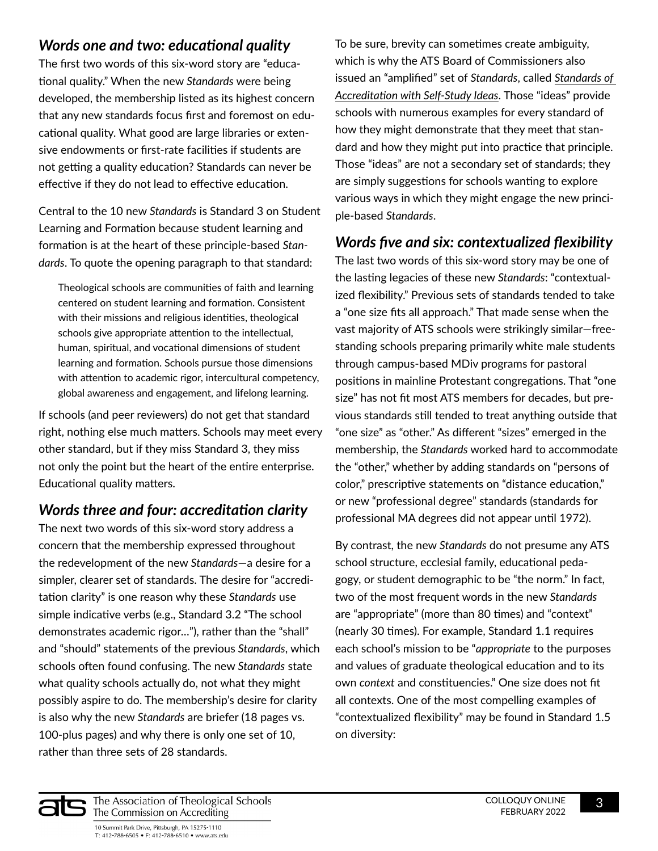#### *Words one and two: educational quality*

The first two words of this six-word story are "educational quality." When the new *Standards* were being developed, the membership listed as its highest concern that any new standards focus first and foremost on educational quality. What good are large libraries or extensive endowments or first-rate facilities if students are not getting a quality education? Standards can never be effective if they do not lead to effective education.

Central to the 10 new *Standards* is Standard 3 on Student Learning and Formation because student learning and formation is at the heart of these principle-based *Standards*. To quote the opening paragraph to that standard:

Theological schools are communities of faith and learning centered on student learning and formation. Consistent with their missions and religious identities, theological schools give appropriate attention to the intellectual, human, spiritual, and vocational dimensions of student learning and formation. Schools pursue those dimensions with attention to academic rigor, intercultural competency, global awareness and engagement, and lifelong learning.

If schools (and peer reviewers) do not get that standard right, nothing else much matters. Schools may meet every other standard, but if they miss Standard 3, they miss not only the point but the heart of the entire enterprise. Educational quality matters.

### *Words three and four: accreditation clarity*

The next two words of this six-word story address a concern that the membership expressed throughout the redevelopment of the new *Standards*—a desire for a simpler, clearer set of standards. The desire for "accreditation clarity" is one reason why these *Standards* use simple indicative verbs (e.g., Standard 3.2 "The school demonstrates academic rigor…"), rather than the "shall" and "should" statements of the previous *Standards*, which schools often found confusing. The new *Standards* state what quality schools actually do, not what they might possibly aspire to do. The membership's desire for clarity is also why the new *Standards* are briefer (18 pages vs. 100-plus pages) and why there is only one set of 10, rather than three sets of 28 standards.

To be sure, brevity can sometimes create ambiguity, which is why the ATS Board of Commissioners also issued an "amplified" set of *Standards*, called *[Standards of](https://www.ats.edu/files/galleries/standards-of-accreditation-with-self-study-ideas.pdf#pagemode=bookmarks)  [Accreditation with Self-Study Ideas](https://www.ats.edu/files/galleries/standards-of-accreditation-with-self-study-ideas.pdf#pagemode=bookmarks)*. Those "ideas" provide schools with numerous examples for every standard of how they might demonstrate that they meet that standard and how they might put into practice that principle. Those "ideas" are not a secondary set of standards; they are simply suggestions for schools wanting to explore various ways in which they might engage the new principle-based *Standards*.

#### *Words five and six: contextualized flexibility*

The last two words of this six-word story may be one of the lasting legacies of these new *Standards*: "contextualized flexibility." Previous sets of standards tended to take a "one size fits all approach." That made sense when the vast majority of ATS schools were strikingly similar—freestanding schools preparing primarily white male students through campus-based MDiv programs for pastoral positions in mainline Protestant congregations. That "one size" has not fit most ATS members for decades, but previous standards still tended to treat anything outside that "one size" as "other." As different "sizes" emerged in the membership, the *Standards* worked hard to accommodate the "other," whether by adding standards on "persons of color," prescriptive statements on "distance education," or new "professional degree" standards (standards for professional MA degrees did not appear until 1972).

By contrast, the new *Standards* do not presume any ATS school structure, ecclesial family, educational pedagogy, or student demographic to be "the norm." In fact, two of the most frequent words in the new *Standards* are "appropriate" (more than 80 times) and "context" (nearly 30 times). For example, Standard 1.1 requires each school's mission to be "*appropriate* to the purposes and values of graduate theological education and to its own *context* and constituencies." One size does not fit all contexts. One of the most compelling examples of "contextualized flexibility" may be found in Standard 1.5 on diversity:



The Association of Theological Schools The Commission on Accrediting